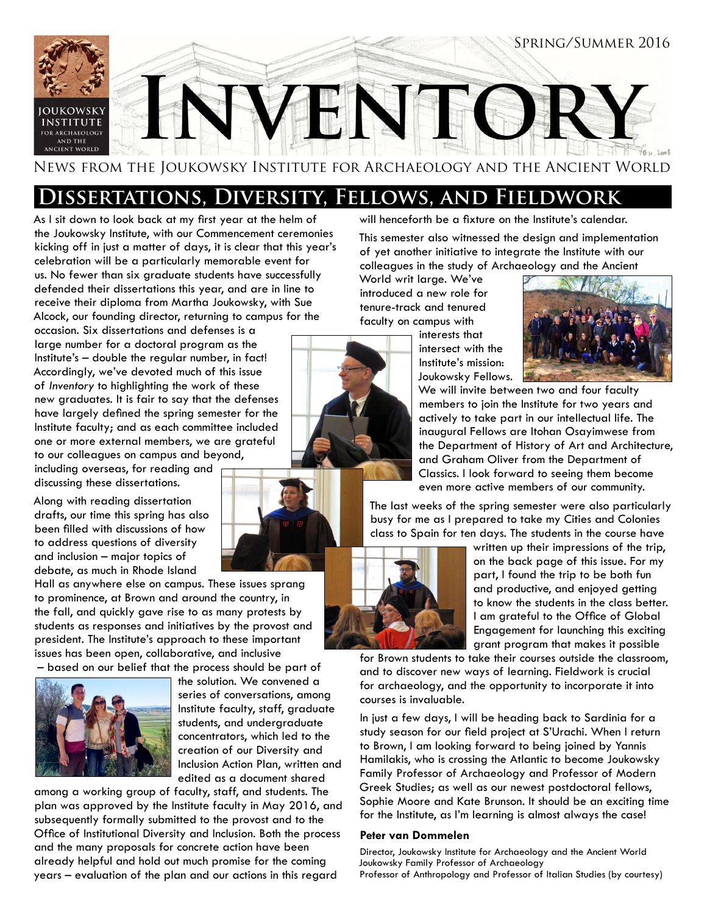

## **Dissertations, Diversity, Fellows, and Fieldwork**

As I sit down to look back at my first year at the helm of the Joukowsky Institute, with our Commencement ceremonies kicking off in just a matter of days, it is clear that this year's celebration will be a particularly memorable event for us. No fewer than six graduate students have successfully defended their dissertations this year, and are in line to receive their diploma from Martha Joukowsky, with Sue Alcock, our founding director, returning to campus for the

occasion. Six dissertations and defenses is a large number for a doctoral program as the Institute's – double the regular number, in fact! Accordingly, we've devoted much of this issue of *Inventory* to highlighting the work of these new graduates. It is fair to say that the defenses have largely defined the spring semester for the Institute faculty; and as each committee included one or more external members, we are grateful to our colleagues on campus and beyond,

including overseas, for reading and discussing these dissertations.

Along with reading dissertation drafts, our time this spring has also been filled with discussions of how to address questions of diversity and inclusion – major topics of debate, as much in Rhode Island

Hall as anywhere else on campus. These issues sprang to prominence, at Brown and around the country, in the fall, and quickly gave rise to as many protests by students as responses and initiatives by the provost and president. The Institute's approach to these important issues has been open, collaborative, and inclusive – based on our belief that the process should be part of



the solution. We convened a series of conversations, among Institute faculty, staff, graduate students, and undergraduate concentrators, which led to the creation of our Diversity and Inclusion Action Plan, written and edited as a document shared

among a working group of faculty, staff, and students. The plan was approved by the Institute faculty in May 2016, and subsequently formally submitted to the provost and to the Office of Institutional Diversity and Inclusion. Both the process and the many proposals for concrete action have been already helpful and hold out much promise for the coming years – evaluation of the plan and our actions in this regard

will henceforth be a fixture on the Institute's calendar.

This semester also witnessed the design and implementation of yet another initiative to integrate the Institute with our colleagues in the study of Archaeology and the Ancient

World writ large. We've introduced a new role for tenure-track and tenured faculty on campus with

interests that intersect with the Institute's mission: Joukowsky Fellows.



We will invite between two and four faculty members to join the Institute for two years and actively to take part in our intellectual life. The inaugural Fellows are Itohan Osayimwese from the Department of History of Art and Architecture, and Graham Oliver from the Department of Classics. I look forward to seeing them become even more active members of our community.

The last weeks of the spring semester were also particularly busy for me as I prepared to take my Cities and Colonies class to Spain for ten days. The students in the course have



written up their impressions of the trip, on the back page of this issue. For my part, I found the trip to be both fun and productive, and enjoyed getting to know the students in the class better. I am grateful to the Office of Global Engagement for launching this exciting grant program that makes it possible

for Brown students to take their courses outside the classroom, and to discover new ways of learning. Fieldwork is crucial for archaeology, and the opportunity to incorporate it into courses is invaluable.

In just a few days, I will be heading back to Sardinia for a study season for our field project at S'Urachi. When I return to Brown, I am looking forward to being joined by Yannis Hamilakis, who is crossing the Atlantic to become Joukowsky Family Professor of Archaeology and Professor of Modern Greek Studies; as well as our newest postdoctoral fellows, Sophie Moore and Kate Brunson. It should be an exciting time for the Institute, as I'm learning is almost always the case!

### **Peter van Dommelen**

Director, Joukowsky Institute for Archaeology and the Ancient World Joukowsky Family Professor of Archaeology Professor of Anthropology and Professor of Italian Studies (by courtesy)

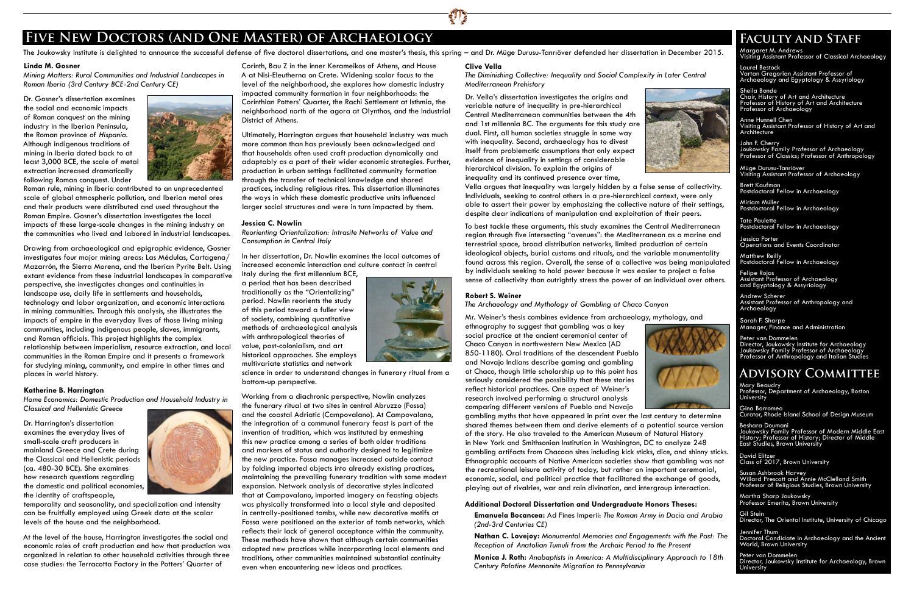#### **Linda M. Gosner**

*Mining Matters: Rural Communities and Industrial Landscapes in Roman Iberia (3rd Century BCE-2nd Century CE)*

Dr. Gosner's dissertation examines the social and economic impacts of Roman conquest on the mining industry in the Iberian Peninsula, the Roman province of *Hispania*. Although indigenous traditions of mining in Iberia dated back to at least 3,000 BCE, the scale of metal extraction increased dramatically following Roman conquest. Under



Roman rule, mining in Iberia contributed to an unprecedented scale of global atmospheric pollution, and Iberian metal ores and their products were distributed and used throughout the Roman Empire. Gosner's dissertation investigates the local impacts of these large-scale changes in the mining industry on the communities who lived and labored in industrial landscapes.

Drawing from archaeological and epigraphic evidence, Gosner investigates four major mining areas: Las Médulas, Cartagena/ Mazarrón, the Sierra Morena, and the Iberian Pyrite Belt. Using extant evidence from these industrial landscapes in comparative perspective, she investigates changes and continuities in landscape use, daily life in settlements and households, technology and labor organization, and economic interactions in mining communities. Through this analysis, she illustrates the impacts of empire in the everyday lives of those living mining communities, including indigenous people, slaves, immigrants, and Roman officials. This project highlights the complex relationship between imperialism, resource extraction, and local communities in the Roman Empire and it presents a framework for studying mining, community, and empire in other times and places in world history.

#### **Katherine B. Harrington**

*Home Economics: Domestic Production and Household Industry in* 

*Classical and Hellenistic Greece*

Dr. Harrington's dissertation examines the everyday lives of small-scale craft producers in mainland Greece and Crete during the Classical and Hellenistic periods (ca. 480-30 BCE). She examines how research questions regarding the domestic and political economies, the identity of craftspeople,



temporality and seasonality, and specialization and intensity can be fruitfully employed using Greek data at the scalar levels of the house and the neighborhood.

At the level of the house, Harrington investigates the social and economic roles of craft production and how that production was organized in relation to other household activities through three case studies: the Terracotta Factory in the Potters' Quarter of

Corinth, Bau Z in the inner Kerameikos of Athens, and House A at Nisi-Eleutherna on Crete. Widening scalar focus to the level of the neighborhood, she explores how domestic industry impacted community formation in four neighborhoods: the Corinthian Potters' Quarter, the Rachi Settlement at Isthmia, the neighborhood north of the agora at Olynthos, and the Industrial District of Athens.

Anne Hunnell Chen Visiting Assistant Professor of History of Art and **Architecture** 

Ultimately, Harrington argues that household industry was much more common than has previously been acknowledged and that households often used craft production dynamically and adaptably as a part of their wider economic strategies. Further, production in urban settings facilitated community formation through the transfer of technical knowledge and shared practices, including religious rites. This dissertation illuminates the ways in which these domestic productive units influenced larger social structures and were in turn impacted by them.

#### **Jessica C. Nowlin**

*Reorienting Orientalization: Intrasite Networks of Value and Consumption in Central Italy*

In her dissertation, Dr. Nowlin examines the local outcomes of increased economic interaction and culture contact in central

Italy during the first millennium BCE, a period that has been described traditionally as the "Orientalizing" period. Nowlin reorients the study of this period toward a fuller view of society, combining quantitative methods of archaeological analysis with anthropological theories of value, post-colonialism, and art historical approaches. She employs multivariate statistics and network

science in order to understand changes in funerary ritual from a bottom-up perspective.

Working from a diachronic perspective, Nowlin analyzes the funerary ritual at two sites in central Abruzzo (Fossa) and the coastal Adriatic (Campovalano). At Campovalano, the integration of a communal funerary feast is part of the invention of tradition, which was instituted by enmeshing this new practice among a series of both older traditions and markers of status and authority designed to legitimize the new practice. Fossa manages increased outside contact by folding imported objects into already existing practices, maintaining the prevailing funerary tradition with some modest expansion. Network analysis of decorative styles indicated that at Campovalano, imported imagery on feasting objects was physically transformed into a local style and deposited in centrally-positioned tombs, while new decorative motifs at Fossa were positioned on the exterior of tomb networks, which reflects their lack of general acceptance within the community. These methods have shown that although certain communities adopted new practices while incorporating local elements and traditions, other communities maintained substantial continuity even when encountering new ideas and practices.

Mary Beaudry Professor, Department of Archaeology, Boston **University** 

Margaret M. Andrews Visiting Assistant Professor of Classical Archaeology

Laurel Bestock Vartan Gregorian Assistant Professor of Archaeology and Egyptology & Assyriology

Sheila Bonde Chair, History of Art and Architecture Professor of History of Art and Architecture Professor of Archaeology

John F. Cherry Joukowsky Family Professor of Archaeology Professor of Classics; Professor of Anthropology

Müge Durusu-Tanriöver Visiting Assistant Professor of Archaeology

Brett Kaufman Postdoctoral Fellow in Archaeology

Miriam Müller Postdoctoral Fellow in Archaeology

Tate Paulette Postdoctoral Fellow in Archaeology

Jessica Porter Operations and Events Coordinator

Matthew Reilly Postdoctoral Fellow in Archaeology

Felipe Rojas Assistant Professor of Archaeology and Egyptology & Assyriology

Andrew Scherer Assistant Professor of Anthropology and Archaeology

Sarah F. Sharpe Manager, Finance and Administration

Peter van Dommelen Director, Joukowsky Institute for Archaeology Joukowsky Family Professor of Archaeology Professor of Anthropology and Italian Studies

# **Five New Doctors (and One Master) of Archaeology Faculty and Staff**

#### **Clive Vella**

*The Diminishing Collective: Inequality and Social Complexity in Later Central Mediterranean Prehistory*

Dr. Vella's dissertation investigates the origins and variable nature of inequality in pre-hierarchical Central Mediterranean communities between the 4th and 1st millennia BC. The arguments for this study are dual. First, all human societies struggle in some way with inequality. Second, archaeology has to divest itself from problematic assumptions that only expect evidence of inequality in settings of considerable hierarchical division. To explain the origins of inequality and its continued presence over time,



Vella argues that inequality was largely hidden by a false sense of collectivity. Individuals, seeking to control others in a pre-hierarchical context, were only able to assert their power by emphasizing the collective nature of their settings, despite clear indications of manipulation and exploitation of their peers.

To best tackle these arguments, this study examines the Central Mediterranean region through five intersecting "avenues": the Mediterranean as a marine and terrestrial space, broad distribution networks, limited production of certain ideological objects, burial customs and rituals, and the variable monumentality found across this region. Overall, the sense of a collective was being manipulated by individuals seeking to hold power because it was easier to project a false sense of collectivity than outrightly stress the power of an individual over others.

#### **Robert S. Weiner**

### *The Archaeology and Mythology of Gambling at Chaco Canyon*

Mr. Weiner's thesis combines evidence from archaeology, mythology, and ethnography to suggest that gambling was a key

social practice at the ancient ceremonial center of Chaco Canyon in northwestern New Mexico (AD 850-1180). Oral traditions of the descendent Pueblo and Navajo Indians describe gaming and gambling at Chaco, though little scholarship up to this point has seriously considered the possibility that these stories reflect historical practices. One aspect of Weiner's research involved performing a structural analysis comparing different versions of Pueblo and Navajo



gambling myths that have appeared in print over the last century to determine shared themes between them and derive elements of a potential source version of the story. He also traveled to the American Museum of Natural History in New York and Smithsonian Institution in Washington, DC to analyze 248 gambling artifacts from Chacoan sites including kick sticks, dice, and shinny sticks. Ethnographic accounts of Native American societies show that gambling was not the recreational leisure activity of today, but rather an important ceremonial, economic, social, and political practice that facilitated the exchange of goods, playing out of rivalries, war and rain divination, and intergroup interaction.

#### **Additional Doctoral Dissertation and Undergraduate Honors Theses:**

**Emanuela Bocancea:** Ad Fines Imperii: *The Roman Army in Dacia and Arabia (2nd-3rd Centuries CE)*

**Nathan C. Lovejoy:** *Monumental Memories and Engagements with the Past: The Reception of Anatolian Tumuli from the Archaic Period to the Present* **Monica J. Roth:** *Anabaptists in America: A Multidisciplinary Approach to 18th* 

*Century Palatine Mennonite Migration to Pennsylvania*







The Joukowsky Institute is delighted to announce the successful defense of five doctoral dissertations, and one master's thesis, this spring – and Dr. Müge Durusu-Tanrıöver defended her dissertation in December 2015.

Gina Borromeo Curator, Rhode Island School of Design Museum

Beshara Doumani Joukowsky Family Professor of Modern Middle East History; Professor of History; Director of Middle East Studies, Brown University

David Elitzer Class of 2017, Brown University

Susan Ashbrook Harvey Willard Prescott and Annie McClelland Smith Professor of Religious Studies, Brown University

Martha Sharp Joukowsky Professor Emerita, Brown University

Gil Stein Director, The Oriental Institute, University of Chicago

Jennifer Thum Doctoral Candidate in Archaeology and the Ancient World, Brown University

Peter van Dommelen Director, Joukowsky Institute for Archaeology, Brown University

## **Advisory Committee**